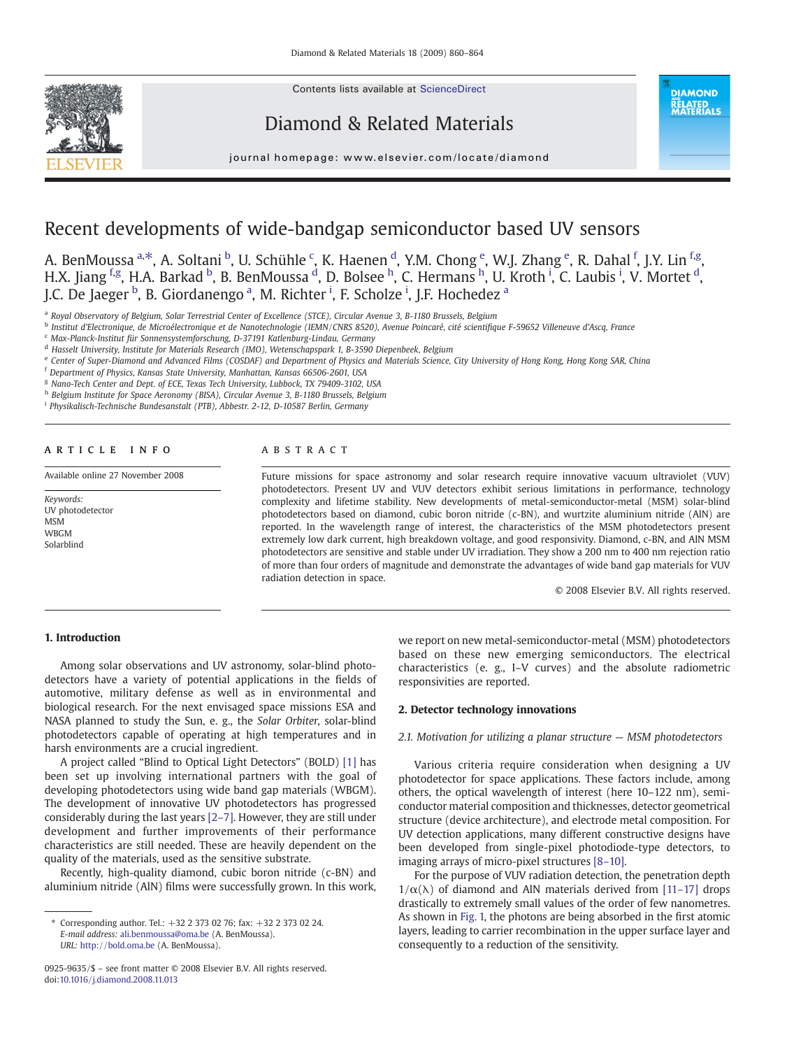Contents lists available at [ScienceDirect](http://www.sciencedirect.com/science/journal/09259635)



Diamond & Related Materials

**DIAMOND RELATED<br>MATERIALS** 

#### journal homepage: www.elsevier.com/locate/diamond

# Recent developments of wide-bandgap semiconductor based UV sensors

A. BenMoussa <sup>a,\*</sup>, A. Soltani <sup>b</sup>, U. Schühle <sup>c</sup>, K. Haenen <sup>d</sup>, Y.M. Chong <sup>e</sup>, W.J. Zhang <sup>e</sup>, R. Dahal <sup>f</sup>, J.Y. Lin <sup>f,g</sup>, H.X. Jiang <sup>f.g</sup>, H.A. Barkad <sup>b</sup>, B. BenMoussa <sup>d</sup>, D. Bolsee <sup>h</sup>, C. Hermans <sup>h</sup>, U. Kroth <sup>i</sup>, C. Laubis <sup>i</sup>, V. Mortet <sup>d</sup>, J.C. De Jaeger <sup>b</sup>, B. Giordanengo <sup>a</sup>, M. Richter <sup>i</sup>, F. Scholze <sup>i</sup>, J.F. Hochedez <sup>a</sup>

<sup>a</sup> Royal Observatory of Belgium, Solar Terrestrial Center of Excellence (STCE), Circular Avenue 3, B-1180 Brussels, Belgium

<sup>b</sup> Institut d'Electronique, de Microélectronique et de Nanotechnologie (IEMN/CNRS 8520), Avenue Poincaré, cité scientifique F-59652 Villeneuve d'Ascq, France

<sup>c</sup> Max-Planck-Institut für Sonnensystemforschung, D-37191 Katlenburg-Lindau, Germany

<sup>e</sup> Center of Super-Diamond and Advanced Films (COSDAF) and Department of Physics and Materials Science, City University of Hong Kong, Hong Kong SAR, China

<sup>f</sup> Department of Physics, Kansas State University, Manhattan, Kansas 66506-2601, USA

<sup>g</sup> Nano-Tech Center and Dept. of ECE, Texas Tech University, Lubbock, TX 79409-3102, USA

h Belgium Institute for Space Aeronomy (BISA), Circular Avenue 3, B-1180 Brussels, Belgium

<sup>i</sup> Physikalisch-Technische Bundesanstalt (PTB), Abbestr. 2-12, D-10587 Berlin, Germany

#### article info abstract

Available online 27 November 2008

Keywords: UV photodetector MSM WBGM Solarblind

Future missions for space astronomy and solar research require innovative vacuum ultraviolet (VUV) photodetectors. Present UV and VUV detectors exhibit serious limitations in performance, technology complexity and lifetime stability. New developments of metal-semiconductor-metal (MSM) solar-blind photodetectors based on diamond, cubic boron nitride (c-BN), and wurtzite aluminium nitride (AlN) are reported. In the wavelength range of interest, the characteristics of the MSM photodetectors present extremely low dark current, high breakdown voltage, and good responsivity. Diamond, c-BN, and AlN MSM photodetectors are sensitive and stable under UV irradiation. They show a 200 nm to 400 nm rejection ratio of more than four orders of magnitude and demonstrate the advantages of wide band gap materials for VUV radiation detection in space.

© 2008 Elsevier B.V. All rights reserved.

# 1. Introduction

Among solar observations and UV astronomy, solar-blind photodetectors have a variety of potential applications in the fields of automotive, military defense as well as in environmental and biological research. For the next envisaged space missions ESA and NASA planned to study the Sun, e. g., the Solar Orbiter, solar-blind photodetectors capable of operating at high temperatures and in harsh environments are a crucial ingredient.

A project called "Blind to Optical Light Detectors" (BOLD) [\[1\]](#page-4-0) has been set up involving international partners with the goal of developing photodetectors using wide band gap materials (WBGM). The development of innovative UV photodetectors has progressed considerably during the last years [2–[7\].](#page-4-0) However, they are still under development and further improvements of their performance characteristics are still needed. These are heavily dependent on the quality of the materials, used as the sensitive substrate.

Recently, high-quality diamond, cubic boron nitride (c-BN) and aluminium nitride (AlN) films were successfully grown. In this work, we report on new metal-semiconductor-metal (MSM) photodetectors based on these new emerging semiconductors. The electrical characteristics (e. g., I–V curves) and the absolute radiometric responsivities are reported.

### 2. Detector technology innovations

#### 2.1. Motivation for utilizing a planar structure — MSM photodetectors

Various criteria require consideration when designing a UV photodetector for space applications. These factors include, among others, the optical wavelength of interest (here 10–122 nm), semiconductor material composition and thicknesses, detector geometrical structure (device architecture), and electrode metal composition. For UV detection applications, many different constructive designs have been developed from single-pixel photodiode-type detectors, to imaging arrays of micro-pixel structures [8–[10\].](#page-4-0)

For the purpose of VUV radiation detection, the penetration depth  $1/\alpha(\lambda)$  of diamond and AlN materials derived from [11–[17\]](#page-4-0) drops drastically to extremely small values of the order of few nanometres. As shown in [Fig. 1,](#page-1-0) the photons are being absorbed in the first atomic layers, leading to carrier recombination in the upper surface layer and consequently to a reduction of the sensitivity.

<sup>d</sup> Hasselt University, Institute for Materials Research (IMO), Wetenschapspark 1, B-3590 Diepenbeek, Belgium

<sup>⁎</sup> Corresponding author. Tel.: +32 2 373 02 76; fax: +32 2 373 02 24. E-mail address: [ali.benmoussa@oma.be](mailto:ali.benmoussa@oma.be) (A. BenMoussa). URL: <http://bold.oma.be> (A. BenMoussa).

<sup>0925-9635/\$</sup> – see front matter © 2008 Elsevier B.V. All rights reserved. doi[:10.1016/j.diamond.2008.11.013](http://dx.doi.org/10.1016/j.diamond.2008.11.013)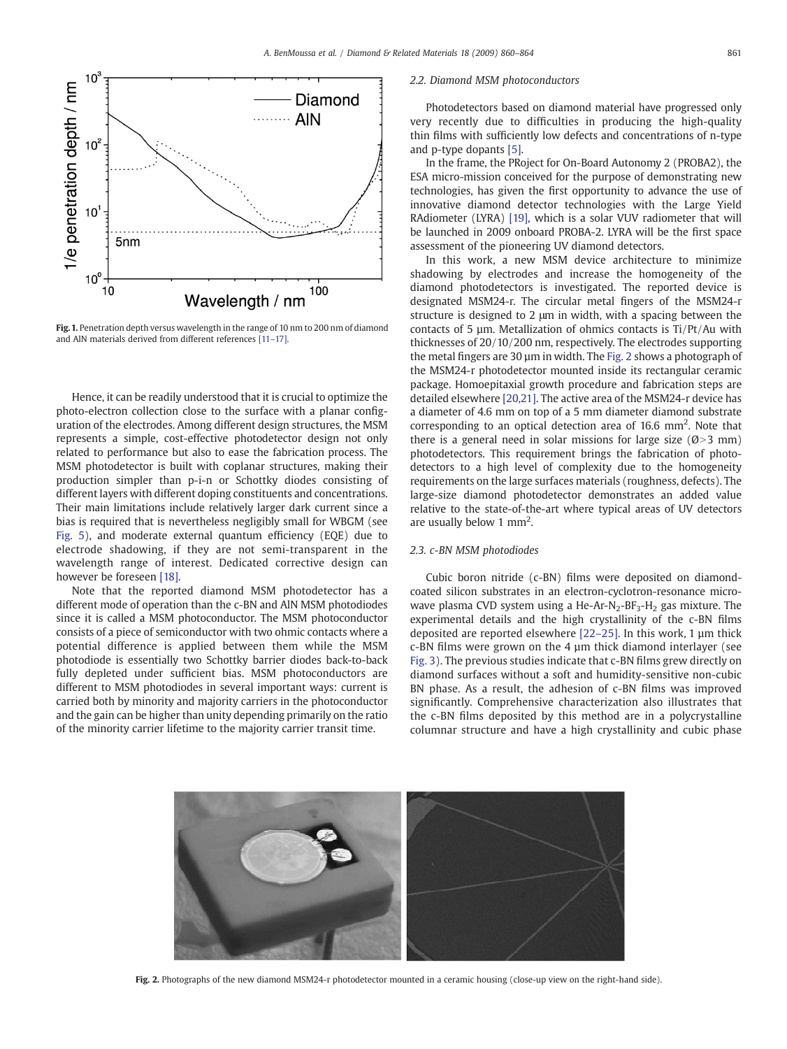<span id="page-1-0"></span>

Fig. 1. Penetration depth versus wavelength in the range of 10 nm to 200 nm of diamond and AlN materials derived from different references [11–[17\]](#page-4-0).

Hence, it can be readily understood that it is crucial to optimize the photo-electron collection close to the surface with a planar configuration of the electrodes. Among different design structures, the MSM represents a simple, cost-effective photodetector design not only related to performance but also to ease the fabrication process. The MSM photodetector is built with coplanar structures, making their production simpler than p-i-n or Schottky diodes consisting of different layers with different doping constituents and concentrations. Their main limitations include relatively larger dark current since a bias is required that is nevertheless negligibly small for WBGM (see [Fig. 5](#page-3-0)), and moderate external quantum efficiency (EQE) due to electrode shadowing, if they are not semi-transparent in the wavelength range of interest. Dedicated corrective design can however be foreseen [\[18\]](#page-4-0).

Note that the reported diamond MSM photodetector has a different mode of operation than the c-BN and AlN MSM photodiodes since it is called a MSM photoconductor. The MSM photoconductor consists of a piece of semiconductor with two ohmic contacts where a potential difference is applied between them while the MSM photodiode is essentially two Schottky barrier diodes back-to-back fully depleted under sufficient bias. MSM photoconductors are different to MSM photodiodes in several important ways: current is carried both by minority and majority carriers in the photoconductor and the gain can be higher than unity depending primarily on the ratio of the minority carrier lifetime to the majority carrier transit time.

# 2.2. Diamond MSM photoconductors

Photodetectors based on diamond material have progressed only very recently due to difficulties in producing the high-quality thin films with sufficiently low defects and concentrations of n-type and p-type dopants [\[5\].](#page-4-0)

In the frame, the PRoject for On-Board Autonomy 2 (PROBA2), the ESA micro-mission conceived for the purpose of demonstrating new technologies, has given the first opportunity to advance the use of innovative diamond detector technologies with the Large Yield RAdiometer (LYRA) [\[19\],](#page-4-0) which is a solar VUV radiometer that will be launched in 2009 onboard PROBA-2. LYRA will be the first space assessment of the pioneering UV diamond detectors.

In this work, a new MSM device architecture to minimize shadowing by electrodes and increase the homogeneity of the diamond photodetectors is investigated. The reported device is designated MSM24-r. The circular metal fingers of the MSM24-r structure is designed to 2 μm in width, with a spacing between the contacts of 5 µm. Metallization of ohmics contacts is Ti/Pt/Au with thicknesses of 20/10/200 nm, respectively. The electrodes supporting the metal fingers are 30 µm in width. The Fig. 2 shows a photograph of the MSM24-r photodetector mounted inside its rectangular ceramic package. Homoepitaxial growth procedure and fabrication steps are detailed elsewhere [\[20,21\].](#page-4-0) The active area of the MSM24-r device has a diameter of 4.6 mm on top of a 5 mm diameter diamond substrate corresponding to an optical detection area of  $16.6$  mm<sup>2</sup>. Note that there is a general need in solar missions for large size ( $\emptyset$ >3 mm) photodetectors. This requirement brings the fabrication of photodetectors to a high level of complexity due to the homogeneity requirements on the large surfaces materials (roughness, defects). The large-size diamond photodetector demonstrates an added value relative to the state-of-the-art where typical areas of UV detectors are usually below 1  $mm<sup>2</sup>$ .

# 2.3. c-BN MSM photodiodes

Cubic boron nitride (c-BN) films were deposited on diamondcoated silicon substrates in an electron-cyclotron-resonance microwave plasma CVD system using a He-Ar-N<sub>2</sub>-BF<sub>3</sub>-H<sub>2</sub> gas mixture. The experimental details and the high crystallinity of the c-BN films deposited are reported elsewhere [22–[25\].](#page-4-0) In this work, 1 µm thick c-BN films were grown on the 4 µm thick diamond interlayer (see [Fig. 3\)](#page-2-0). The previous studies indicate that c-BN films grew directly on diamond surfaces without a soft and humidity-sensitive non-cubic BN phase. As a result, the adhesion of c-BN films was improved significantly. Comprehensive characterization also illustrates that the c-BN films deposited by this method are in a polycrystalline columnar structure and have a high crystallinity and cubic phase



Fig. 2. Photographs of the new diamond MSM24-r photodetector mounted in a ceramic housing (close-up view on the right-hand side).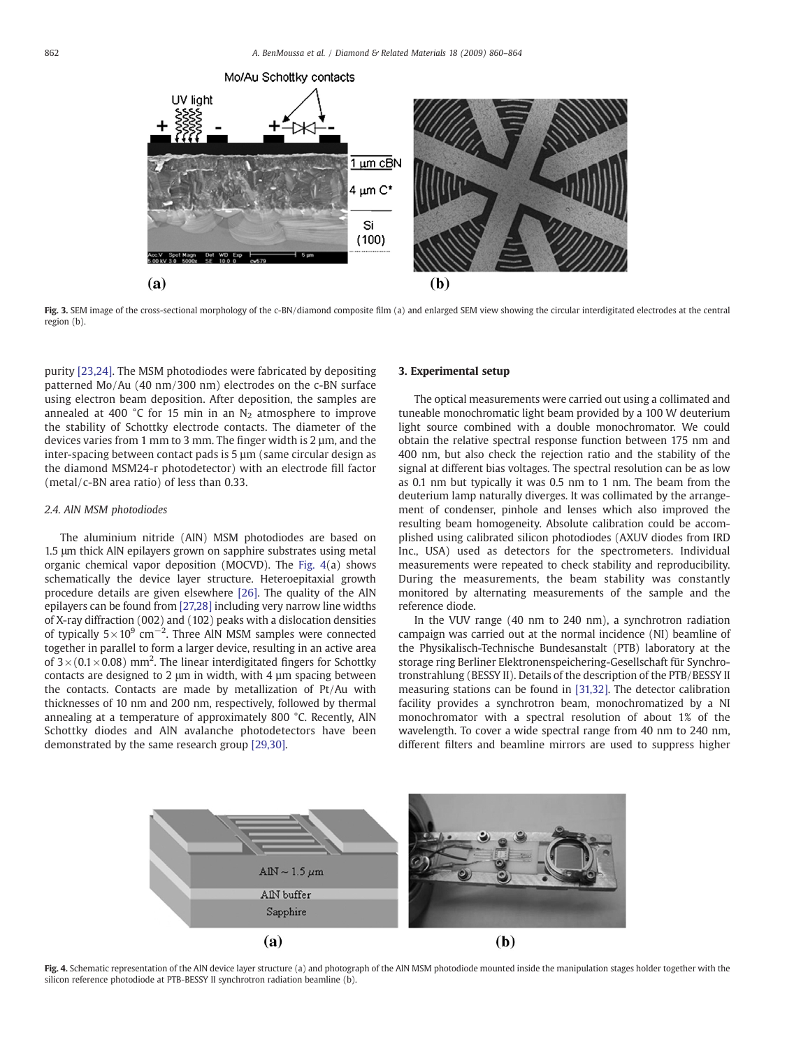<span id="page-2-0"></span>

Fig. 3. SEM image of the cross-sectional morphology of the c-BN/diamond composite film (a) and enlarged SEM view showing the circular interdigitated electrodes at the central region (b).

purity [\[23,24\]](#page-4-0). The MSM photodiodes were fabricated by depositing patterned Mo/Au (40 nm/300 nm) electrodes on the c-BN surface using electron beam deposition. After deposition, the samples are annealed at 400 °C for 15 min in an  $N_2$  atmosphere to improve the stability of Schottky electrode contacts. The diameter of the devices varies from 1 mm to 3 mm. The finger width is 2  $\mu$ m, and the inter-spacing between contact pads is 5 µm (same circular design as the diamond MSM24-r photodetector) with an electrode fill factor (metal/c-BN area ratio) of less than 0.33.

#### 2.4. AlN MSM photodiodes

The aluminium nitride (AIN) MSM photodiodes are based on 1.5 μm thick AlN epilayers grown on sapphire substrates using metal organic chemical vapor deposition (MOCVD). The Fig. 4(a) shows schematically the device layer structure. Heteroepitaxial growth procedure details are given elsewhere [\[26\].](#page-4-0) The quality of the AlN epilayers can be found from [\[27,28\]](#page-4-0) including very narrow line widths of X-ray diffraction (002) and (102) peaks with a dislocation densities of typically  $5 \times 10^9$  cm<sup>-2</sup>. Three AlN MSM samples were connected together in parallel to form a larger device, resulting in an active area of  $3 \times (0.1 \times 0.08)$  mm<sup>2</sup>. The linear interdigitated fingers for Schottky contacts are designed to 2 μm in width, with 4 µm spacing between the contacts. Contacts are made by metallization of Pt/Au with thicknesses of 10 nm and 200 nm, respectively, followed by thermal annealing at a temperature of approximately 800 °C. Recently, AlN Schottky diodes and AlN avalanche photodetectors have been demonstrated by the same research group [\[29,30\].](#page-4-0)

#### 3. Experimental setup

The optical measurements were carried out using a collimated and tuneable monochromatic light beam provided by a 100 W deuterium light source combined with a double monochromator. We could obtain the relative spectral response function between 175 nm and 400 nm, but also check the rejection ratio and the stability of the signal at different bias voltages. The spectral resolution can be as low as 0.1 nm but typically it was 0.5 nm to 1 nm. The beam from the deuterium lamp naturally diverges. It was collimated by the arrangement of condenser, pinhole and lenses which also improved the resulting beam homogeneity. Absolute calibration could be accomplished using calibrated silicon photodiodes (AXUV diodes from IRD Inc., USA) used as detectors for the spectrometers. Individual measurements were repeated to check stability and reproducibility. During the measurements, the beam stability was constantly monitored by alternating measurements of the sample and the reference diode.

In the VUV range (40 nm to 240 nm), a synchrotron radiation campaign was carried out at the normal incidence (NI) beamline of the Physikalisch-Technische Bundesanstalt (PTB) laboratory at the storage ring Berliner Elektronenspeichering-Gesellschaft für Synchrotronstrahlung (BESSY II). Details of the description of the PTB/BESSY II measuring stations can be found in [\[31,32\]](#page-4-0). The detector calibration facility provides a synchrotron beam, monochromatized by a NI monochromator with a spectral resolution of about 1% of the wavelength. To cover a wide spectral range from 40 nm to 240 nm, different filters and beamline mirrors are used to suppress higher



Fig. 4. Schematic representation of the AlN device layer structure (a) and photograph of the AlN MSM photodiode mounted inside the manipulation stages holder together with the silicon reference photodiode at PTB-BESSY II synchrotron radiation beamline (b).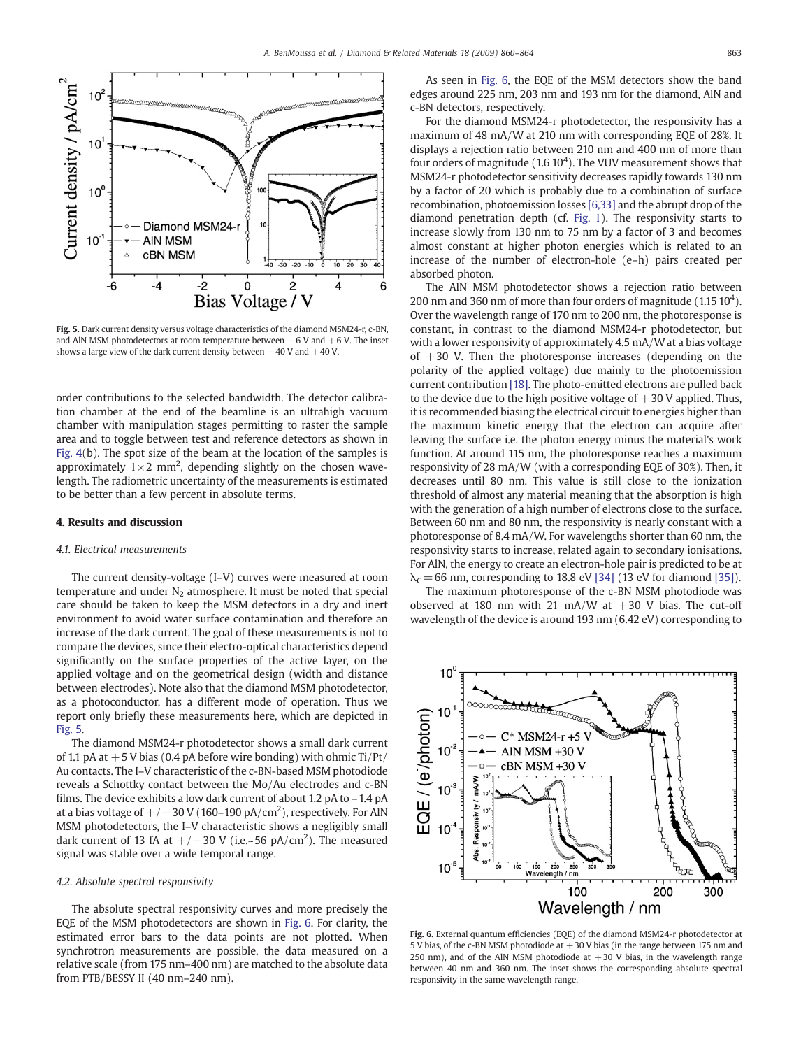<span id="page-3-0"></span>

Fig. 5. Dark current density versus voltage characteristics of the diamond MSM24-r, c-BN, and AlN MSM photodetectors at room temperature between  $-6$  V and  $+6$  V. The inset shows a large view of the dark current density between −40 V and +40 V.

order contributions to the selected bandwidth. The detector calibration chamber at the end of the beamline is an ultrahigh vacuum chamber with manipulation stages permitting to raster the sample area and to toggle between test and reference detectors as shown in [Fig. 4](#page-2-0)(b). The spot size of the beam at the location of the samples is approximately  $1\times 2$  mm<sup>2</sup>, depending slightly on the chosen wavelength. The radiometric uncertainty of the measurements is estimated to be better than a few percent in absolute terms.

#### 4. Results and discussion

#### 4.1. Electrical measurements

The current density-voltage (I–V) curves were measured at room temperature and under  $N<sub>2</sub>$  atmosphere. It must be noted that special care should be taken to keep the MSM detectors in a dry and inert environment to avoid water surface contamination and therefore an increase of the dark current. The goal of these measurements is not to compare the devices, since their electro-optical characteristics depend significantly on the surface properties of the active layer, on the applied voltage and on the geometrical design (width and distance between electrodes). Note also that the diamond MSM photodetector, as a photoconductor, has a different mode of operation. Thus we report only briefly these measurements here, which are depicted in Fig. 5.

The diamond MSM24-r photodetector shows a small dark current of 1.1 pA at  $+5$  V bias (0.4 pA before wire bonding) with ohmic Ti/Pt/ Au contacts. The I–V characteristic of the c-BN-based MSM photodiode reveals a Schottky contact between the Mo/Au electrodes and c-BN films. The device exhibits a low dark current of about 1.2 pA to –1.4 pA at a bias voltage of  $+/-$  30 V (160–190 pA/cm $^2$ ), respectively. For AlN MSM photodetectors, the I–V characteristic shows a negligibly small dark current of 13 fA at  $+/-30$  V (i.e.~56 pA/cm<sup>2</sup>). The measured signal was stable over a wide temporal range.

#### 4.2. Absolute spectral responsivity

The absolute spectral responsivity curves and more precisely the EQE of the MSM photodetectors are shown in Fig. 6. For clarity, the estimated error bars to the data points are not plotted. When synchrotron measurements are possible, the data measured on a relative scale (from 175 nm–400 nm) are matched to the absolute data from PTB/BESSY II (40 nm–240 nm).

As seen in Fig. 6, the EQE of the MSM detectors show the band edges around 225 nm, 203 nm and 193 nm for the diamond, AlN and c-BN detectors, respectively.

For the diamond MSM24-r photodetector, the responsivity has a maximum of 48 mA/W at 210 nm with corresponding EQE of 28%. It displays a rejection ratio between 210 nm and 400 nm of more than four orders of magnitude  $(1.6 10<sup>4</sup>)$ . The VUV measurement shows that MSM24-r photodetector sensitivity decreases rapidly towards 130 nm by a factor of 20 which is probably due to a combination of surface recombination, photoemission losses [\[6,33\]](#page-4-0) and the abrupt drop of the diamond penetration depth (cf. [Fig. 1](#page-1-0)). The responsivity starts to increase slowly from 130 nm to 75 nm by a factor of 3 and becomes almost constant at higher photon energies which is related to an increase of the number of electron-hole (e–h) pairs created per absorbed photon.

The AlN MSM photodetector shows a rejection ratio between 200 nm and 360 nm of more than four orders of magnitude  $(1.15\ 10^4)$ . Over the wavelength range of 170 nm to 200 nm, the photoresponse is constant, in contrast to the diamond MSM24-r photodetector, but with a lower responsivity of approximately 4.5 mA/W at a bias voltage of  $+30$  V. Then the photoresponse increases (depending on the polarity of the applied voltage) due mainly to the photoemission current contribution [\[18\].](#page-4-0) The photo-emitted electrons are pulled back to the device due to the high positive voltage of  $+30$  V applied. Thus, it is recommended biasing the electrical circuit to energies higher than the maximum kinetic energy that the electron can acquire after leaving the surface i.e. the photon energy minus the material's work function. At around 115 nm, the photoresponse reaches a maximum responsivity of 28 mA/W (with a corresponding EQE of 30%). Then, it decreases until 80 nm. This value is still close to the ionization threshold of almost any material meaning that the absorption is high with the generation of a high number of electrons close to the surface. Between 60 nm and 80 nm, the responsivity is nearly constant with a photoresponse of 8.4 mA/W. For wavelengths shorter than 60 nm, the responsivity starts to increase, related again to secondary ionisations. For AlN, the energy to create an electron-hole pair is predicted to be at  $\lambda_c$  = 66 nm, corresponding to 18.8 eV [\[34\]](#page-4-0) (13 eV for diamond [\[35\]\)](#page-4-0).

The maximum photoresponse of the c-BN MSM photodiode was observed at 180 nm with 21 mA/W at  $+30$  V bias. The cut-off wavelength of the device is around 193 nm (6.42 eV) corresponding to

 $10<sup>°</sup>$  $10$ EQE / (e/photon)  $C*$  MSM24-r +5  $10^{-2}$ AIN MSM +30 V cBN MSM +30 V mA/W  $10^{-3}$ Responsivity  $10$ 10 **Ahs**  $\frac{1}{\frac{1}{2}}$  $10^{-5}$ 150 200 250<br>Wavelength / nm  $10<sup>1</sup>$  $100$ 200 300 Wavelength / nm

Fig. 6. External quantum efficiencies (EQE) of the diamond MSM24-r photodetector at 5 V bias, of the c-BN MSM photodiode at  $+30$  V bias (in the range between 175 nm and 250 nm), and of the AlN MSM photodiode at  $+30$  V bias, in the wavelength range between 40 nm and 360 nm. The inset shows the corresponding absolute spectral responsivity in the same wavelength range.